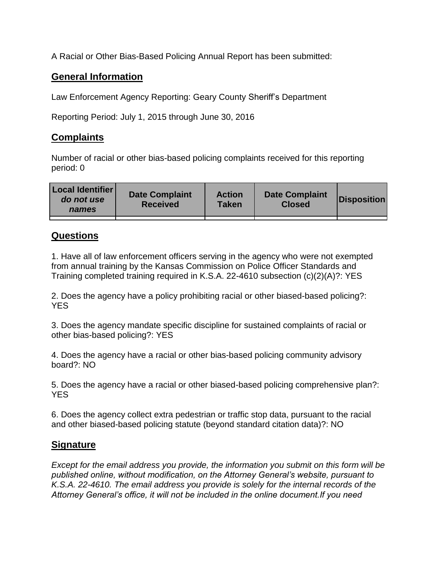A Racial or Other Bias-Based Policing Annual Report has been submitted:

## **General Information**

Law Enforcement Agency Reporting: Geary County Sheriff's Department

Reporting Period: July 1, 2015 through June 30, 2016

## **Complaints**

Number of racial or other bias-based policing complaints received for this reporting period: 0

| <b>Local Identifier</b><br>do not use<br>names | <b>Date Complaint</b><br><b>Received</b> | <b>Action</b><br><b>Taken</b> | <b>Date Complaint</b><br><b>Closed</b> | Disposition |
|------------------------------------------------|------------------------------------------|-------------------------------|----------------------------------------|-------------|
|                                                |                                          |                               |                                        |             |

## **Questions**

1. Have all of law enforcement officers serving in the agency who were not exempted from annual training by the Kansas Commission on Police Officer Standards and Training completed training required in K.S.A. 22-4610 subsection (c)(2)(A)?: YES

2. Does the agency have a policy prohibiting racial or other biased-based policing?: YES

3. Does the agency mandate specific discipline for sustained complaints of racial or other bias-based policing?: YES

4. Does the agency have a racial or other bias-based policing community advisory board?: NO

5. Does the agency have a racial or other biased-based policing comprehensive plan?: YES

6. Does the agency collect extra pedestrian or traffic stop data, pursuant to the racial and other biased-based policing statute (beyond standard citation data)?: NO

## **Signature**

*Except for the email address you provide, the information you submit on this form will be published online, without modification, on the Attorney General's website, pursuant to K.S.A. 22-4610. The email address you provide is solely for the internal records of the Attorney General's office, it will not be included in the online document.If you need*